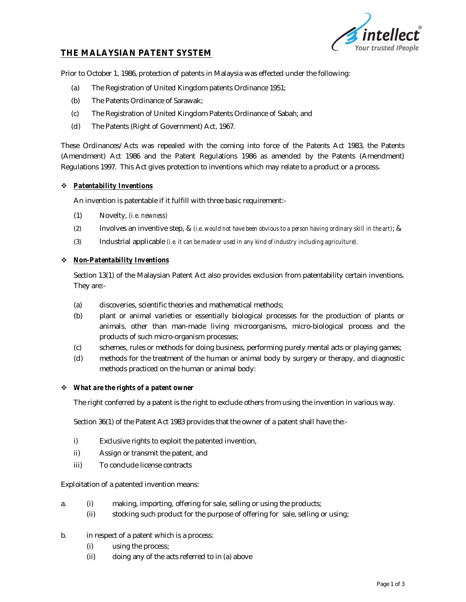

# **THE MALAYSIAN PATENT SYSTEM**

Prior to October 1, 1986, protection of patents in Malaysia was effected under the following:

- (a) The Registration of United Kingdom patents Ordinance 1951;
- (b) The Patents Ordinance of Sarawak;
- (c) The Registration of United Kingdom Patents Ordinance of Sabah; and
- (d) The Patents (Right of Government) Act, 1967.

These Ordinances/Acts was repealed with the coming into force of the Patents Act 1983, the Patents (Amendment) Act 1986 and the Patent Regulations 1986 as amended by the Patents (Amendment) Regulations 1997. This Act gives protection to inventions which may relate to a product or a process.

#### *Patentability Inventions*

An invention is patentable if it fulfill with three basic requirement:-

- (1) Novelty, *(i.e. newness)*
- (2) Involves an inventive step, & *(i.e. would not have been obvious to a person having ordinary skill in the art)*; &
- (3) Industrial applicable *(i.e. it can be made or used in any kind of industry including agriculture).*

#### *Non-Patentability Inventions*

Section 13(1) of the Malaysian Patent Act also provides exclusion from patentability certain inventions. They are:-

- (a) discoveries, scientific theories and mathematical methods;
- (b) plant or animal varieties or essentially biological processes for the production of plants or animals, other than man-made living microorganisms, micro-biological process and the products of such micro-organism processes;
- (c) schemes, rules or methods for doing business, performing purely mental acts or playing games;
- (d) methods for the treatment of the human or animal body by surgery or therapy, and diagnostic methods practiced on the human or animal body:

#### *What are the rights of a patent owner*

The right conferred by a patent is the right to exclude others from using the invention in various way.

Section 36(1) of the Patent Act 1983 provides that the owner of a patent shall have the:-

- i) Exclusive rights to exploit the patented invention,
- ii) Assign or transmit the patent, and
- iii) To conclude license contracts

Exploitation of a patented invention means:

- a. (i) making, importing, offering for sale, selling or using the products;
	- (ii) stocking such product for the purpose of offering for sale, selling or using;
- b. in respect of a patent which is a process:
	- (i) using the process;
	- (ii) doing any of the acts referred to in (a) above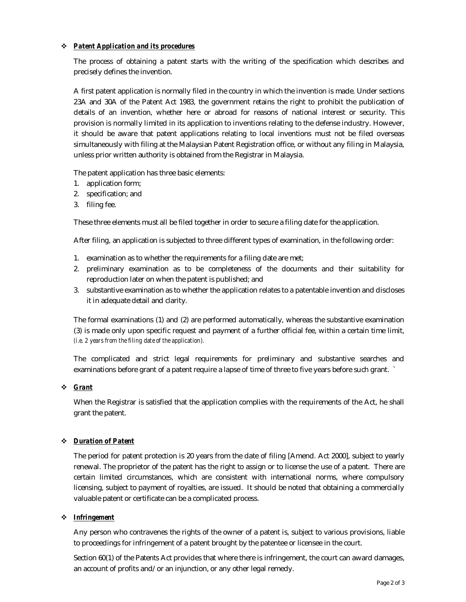### *Patent Application and its procedures*

The process of obtaining a patent starts with the writing of the specification which describes and precisely defines the invention.

A first patent application is normally filed in the country in which the invention is made. Under sections 23A and 30A of the Patent Act 1983, the government retains the right to prohibit the publication of details of an invention, whether here or abroad for reasons of national interest or security. This provision is normally limited in its application to inventions relating to the defense industry. However, it should be aware that patent applications relating to local inventions must not be filed overseas simultaneously with filing at the Malaysian Patent Registration office, or without any filing in Malaysia, unless prior written authority is obtained from the Registrar in Malaysia.

The patent application has three basic elements:

- 1. application form;
- 2. specification; and
- 3. filing fee.

These three elements must all be filed together in order to secure a filing date for the application.

After filing, an application is subjected to three different types of examination, in the following order:

- 1. examination as to whether the requirements for a filing date are met;
- 2. preliminary examination as to be completeness of the documents and their suitability for reproduction later on when the patent is published; and
- 3. substantive examination as to whether the application relates to a patentable invention and discloses it in adequate detail and clarity.

The formal examinations (1) and (2) are performed automatically, whereas the substantive examination (3) is made only upon specific request and payment of a further official fee, within a certain time limit, *(i.e. 2 years from the filing date of the application).*

The complicated and strict legal requirements for preliminary and substantive searches and examinations before grant of a patent require a lapse of time of three to five years before such grant. `

# *Grant*

When the Registrar is satisfied that the application complies with the requirements of the Act, he shall grant the patent.

# *Duration of Patent*

The period for patent protection is 20 years from the date of filing [Amend. Act 2000], subject to yearly renewal. The proprietor of the patent has the right to assign or to license the use of a patent. There are certain limited circumstances, which are consistent with international norms, where compulsory licensing, subject to payment of royalties, are issued. It should be noted that obtaining a commercially valuable patent or certificate can be a complicated process.

# *Infringement*

Any person who contravenes the rights of the owner of a patent is, subject to various provisions, liable to proceedings for infringement of a patent brought by the patentee or licensee in the court.

Section 60(1) of the Patents Act provides that where there is infringement, the court can award damages, an account of profits and/or an injunction, or any other legal remedy.